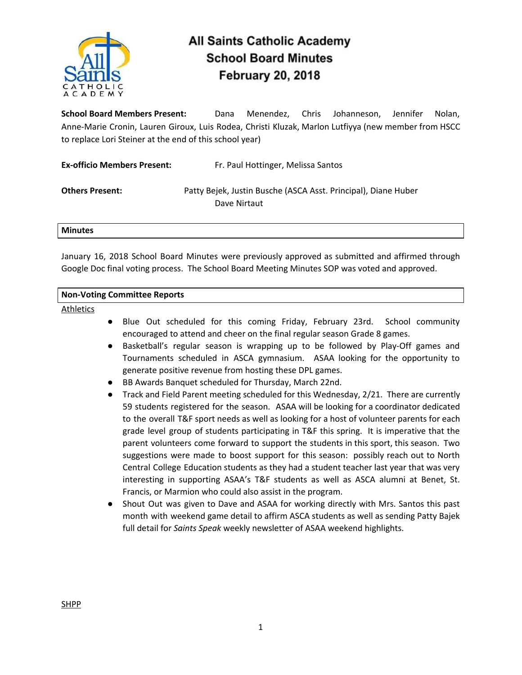

# **All Saints Catholic Academy School Board Minutes February 20, 2018**

**School Board Members Present:** Dana Menendez, Chris Johanneson, Jennifer Nolan, Anne-Marie Cronin, Lauren Giroux, Luis Rodea, Christi Kluzak, Marlon Lutfiyya (new member from HSCC to replace Lori Steiner at the end of this school year)

| <b>Ex-officio Members Present:</b> | Fr. Paul Hottinger, Melissa Santos                                             |
|------------------------------------|--------------------------------------------------------------------------------|
| <b>Others Present:</b>             | Patty Bejek, Justin Busche (ASCA Asst. Principal), Diane Huber<br>Dave Nirtaut |

#### **Minutes**

January 16, 2018 School Board Minutes were previously approved as submitted and affirmed through Google Doc final voting process. The School Board Meeting Minutes SOP was voted and approved.

## **Non-Voting Committee Reports**

**Athletics** 

- Blue Out scheduled for this coming Friday, February 23rd. School community encouraged to attend and cheer on the final regular season Grade 8 games.
- Basketball's regular season is wrapping up to be followed by Play-Off games and Tournaments scheduled in ASCA gymnasium. ASAA looking for the opportunity to generate positive revenue from hosting these DPL games.
- BB Awards Banquet scheduled for Thursday, March 22nd.
- Track and Field Parent meeting scheduled for this Wednesday, 2/21. There are currently 59 students registered for the season. ASAA will be looking for a coordinator dedicated to the overall T&F sport needs as well as looking for a host of volunteer parents for each grade level group of students participating in T&F this spring. It is imperative that the parent volunteers come forward to support the students in this sport, this season. Two suggestions were made to boost support for this season: possibly reach out to North Central College Education students as they had a student teacher last year that was very interesting in supporting ASAA's T&F students as well as ASCA alumni at Benet, St. Francis, or Marmion who could also assist in the program.
- Shout Out was given to Dave and ASAA for working directly with Mrs. Santos this past month with weekend game detail to affirm ASCA students as well as sending Patty Bajek full detail for *Saints Speak* weekly newsletter of ASAA weekend highlights.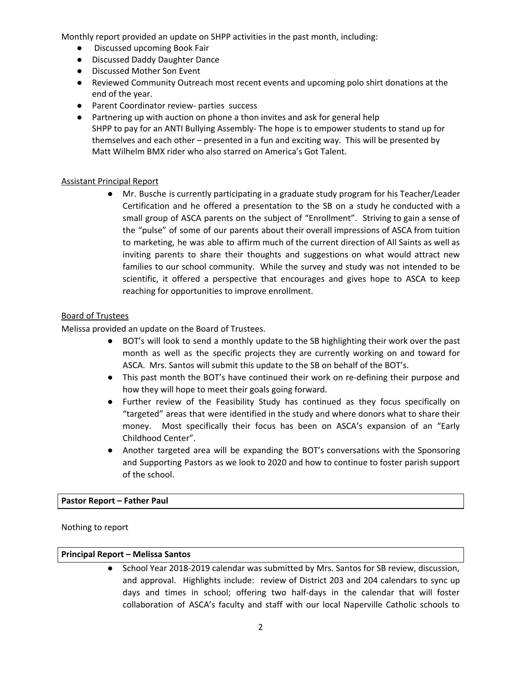Monthly report provided an update on SHPP activities in the past month, including:

- Discussed upcoming Book Fair
- Discussed Daddy Daughter Dance
- Discussed Mother Son Event
- Reviewed Community Outreach most recent events and upcoming polo shirt donations at the end of the year.
- Parent Coordinator review- parties success
- Partnering up with auction on phone a thon invites and ask for general help SHPP to pay for an ANTI Bullying Assembly- The hope is to empower students to stand up for themselves and each other – presented in a fun and exciting way. This will be presented by Matt Wilhelm BMX rider who also starred on America's Got Talent.

## Assistant Principal Report

● Mr. Busche is currently participating in a graduate study program for his Teacher/Leader Certification and he offered a presentation to the SB on a study he conducted with a small group of ASCA parents on the subject of "Enrollment". Striving to gain a sense of the "pulse" of some of our parents about their overall impressions of ASCA from tuition to marketing, he was able to affirm much of the current direction of All Saints as well as inviting parents to share their thoughts and suggestions on what would attract new families to our school community. While the survey and study was not intended to be scientific, it offered a perspective that encourages and gives hope to ASCA to keep reaching for opportunities to improve enrollment.

## Board of Trustees

Melissa provided an update on the Board of Trustees.

- BOT's will look to send a monthly update to the SB highlighting their work over the past month as well as the specific projects they are currently working on and toward for ASCA. Mrs. Santos will submit this update to the SB on behalf of the BOT's.
- This past month the BOT's have continued their work on re-defining their purpose and how they will hope to meet their goals going forward.
- Further review of the Feasibility Study has continued as they focus specifically on "targeted" areas that were identified in the study and where donors what to share their money. Most specifically their focus has been on ASCA's expansion of an "Early Childhood Center".
- Another targeted area will be expanding the BOT's conversations with the Sponsoring and Supporting Pastors as we look to 2020 and how to continue to foster parish support of the school.

## **Pastor Report – Father Paul**

Nothing to report

## **Principal Report – Melissa Santos**

● School Year 2018-2019 calendar was submitted by Mrs. Santos for SB review, discussion, and approval. Highlights include: review of District 203 and 204 calendars to sync up days and times in school; offering two half-days in the calendar that will foster collaboration of ASCA's faculty and staff with our local Naperville Catholic schools to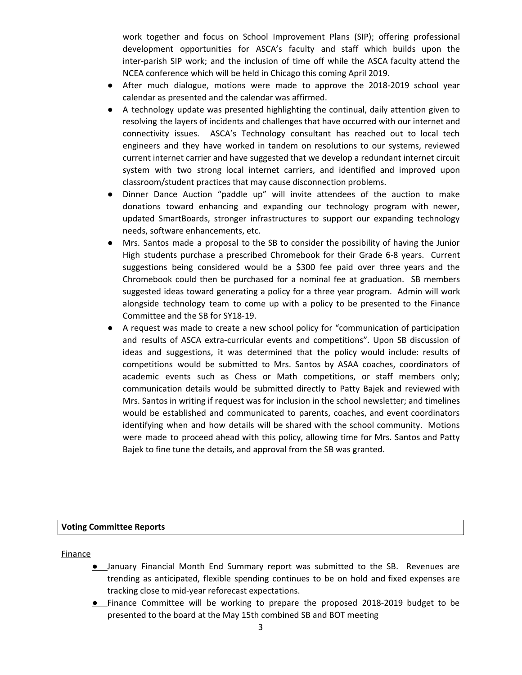work together and focus on School Improvement Plans (SIP); offering professional development opportunities for ASCA's faculty and staff which builds upon the inter-parish SIP work; and the inclusion of time off while the ASCA faculty attend the NCEA conference which will be held in Chicago this coming April 2019.

- After much dialogue, motions were made to approve the 2018-2019 school year calendar as presented and the calendar was affirmed.
- A technology update was presented highlighting the continual, daily attention given to resolving the layers of incidents and challenges that have occurred with our internet and connectivity issues. ASCA's Technology consultant has reached out to local tech engineers and they have worked in tandem on resolutions to our systems, reviewed current internet carrier and have suggested that we develop a redundant internet circuit system with two strong local internet carriers, and identified and improved upon classroom/student practices that may cause disconnection problems.
- Dinner Dance Auction "paddle up" will invite attendees of the auction to make donations toward enhancing and expanding our technology program with newer, updated SmartBoards, stronger infrastructures to support our expanding technology needs, software enhancements, etc.
- Mrs. Santos made a proposal to the SB to consider the possibility of having the Junior High students purchase a prescribed Chromebook for their Grade 6-8 years. Current suggestions being considered would be a \$300 fee paid over three years and the Chromebook could then be purchased for a nominal fee at graduation. SB members suggested ideas toward generating a policy for a three year program. Admin will work alongside technology team to come up with a policy to be presented to the Finance Committee and the SB for SY18-19.
- A request was made to create a new school policy for "communication of participation and results of ASCA extra-curricular events and competitions". Upon SB discussion of ideas and suggestions, it was determined that the policy would include: results of competitions would be submitted to Mrs. Santos by ASAA coaches, coordinators of academic events such as Chess or Math competitions, or staff members only; communication details would be submitted directly to Patty Bajek and reviewed with Mrs. Santos in writing if request was for inclusion in the school newsletter; and timelines would be established and communicated to parents, coaches, and event coordinators identifying when and how details will be shared with the school community. Motions were made to proceed ahead with this policy, allowing time for Mrs. Santos and Patty Bajek to fine tune the details, and approval from the SB was granted.

#### **Voting Committee Reports**

Finance

- January Financial Month End Summary report was submitted to the SB. Revenues are trending as anticipated, flexible spending continues to be on hold and fixed expenses are tracking close to mid-year reforecast expectations.
- Finance Committee will be working to prepare the proposed 2018-2019 budget to be presented to the board at the May 15th combined SB and BOT meeting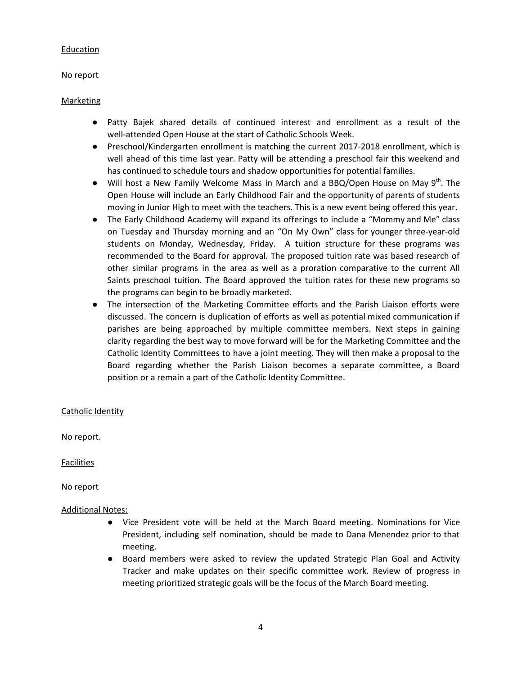#### Education

No report

## Marketing

- Patty Bajek shared details of continued interest and enrollment as a result of the well-attended Open House at the start of Catholic Schools Week.
- Preschool/Kindergarten enrollment is matching the current 2017-2018 enrollment, which is well ahead of this time last year. Patty will be attending a preschool fair this weekend and has continued to schedule tours and shadow opportunities for potential families.
- Will host a New Family Welcome Mass in March and a BBQ/Open House on May 9<sup>th</sup>. The Open House will include an Early Childhood Fair and the opportunity of parents of students moving in Junior High to meet with the teachers. This is a new event being offered this year.
- The Early Childhood Academy will expand its offerings to include a "Mommy and Me" class on Tuesday and Thursday morning and an "On My Own" class for younger three-year-old students on Monday, Wednesday, Friday. A tuition structure for these programs was recommended to the Board for approval. The proposed tuition rate was based research of other similar programs in the area as well as a proration comparative to the current All Saints preschool tuition. The Board approved the tuition rates for these new programs so the programs can begin to be broadly marketed.
- The intersection of the Marketing Committee efforts and the Parish Liaison efforts were discussed. The concern is duplication of efforts as well as potential mixed communication if parishes are being approached by multiple committee members. Next steps in gaining clarity regarding the best way to move forward will be for the Marketing Committee and the Catholic Identity Committees to have a joint meeting. They will then make a proposal to the Board regarding whether the Parish Liaison becomes a separate committee, a Board position or a remain a part of the Catholic Identity Committee.

## Catholic Identity

No report.

**Facilities** 

No report

#### Additional Notes:

- Vice President vote will be held at the March Board meeting. Nominations for Vice President, including self nomination, should be made to Dana Menendez prior to that meeting.
- Board members were asked to review the updated Strategic Plan Goal and Activity Tracker and make updates on their specific committee work. Review of progress in meeting prioritized strategic goals will be the focus of the March Board meeting.